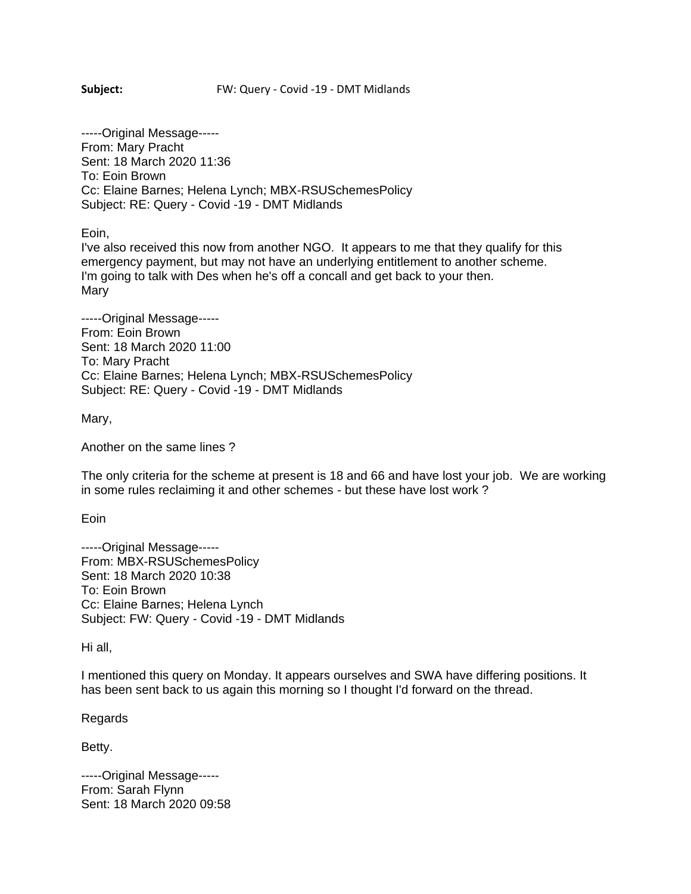## **Subject:** FW: Query - Covid -19 - DMT Midlands

-----Original Message----- From: Mary Pracht Sent: 18 March 2020 11:36 To: Eoin Brown Cc: Elaine Barnes; Helena Lynch; MBX-RSUSchemesPolicy Subject: RE: Query - Covid -19 - DMT Midlands

Eoin,

I've also received this now from another NGO. It appears to me that they qualify for this emergency payment, but may not have an underlying entitlement to another scheme. I'm going to talk with Des when he's off a concall and get back to your then. Mary

-----Original Message----- From: Eoin Brown Sent: 18 March 2020 11:00 To: Mary Pracht Cc: Elaine Barnes; Helena Lynch; MBX-RSUSchemesPolicy Subject: RE: Query - Covid -19 - DMT Midlands

Mary,

Another on the same lines ?

The only criteria for the scheme at present is 18 and 66 and have lost your job. We are working in some rules reclaiming it and other schemes - but these have lost work ?

Eoin

-----Original Message----- From: MBX-RSUSchemesPolicy Sent: 18 March 2020 10:38 To: Eoin Brown Cc: Elaine Barnes; Helena Lynch Subject: FW: Query - Covid -19 - DMT Midlands

Hi all,

I mentioned this query on Monday. It appears ourselves and SWA have differing positions. It has been sent back to us again this morning so I thought I'd forward on the thread.

Regards

Betty.

-----Original Message----- From: Sarah Flynn Sent: 18 March 2020 09:58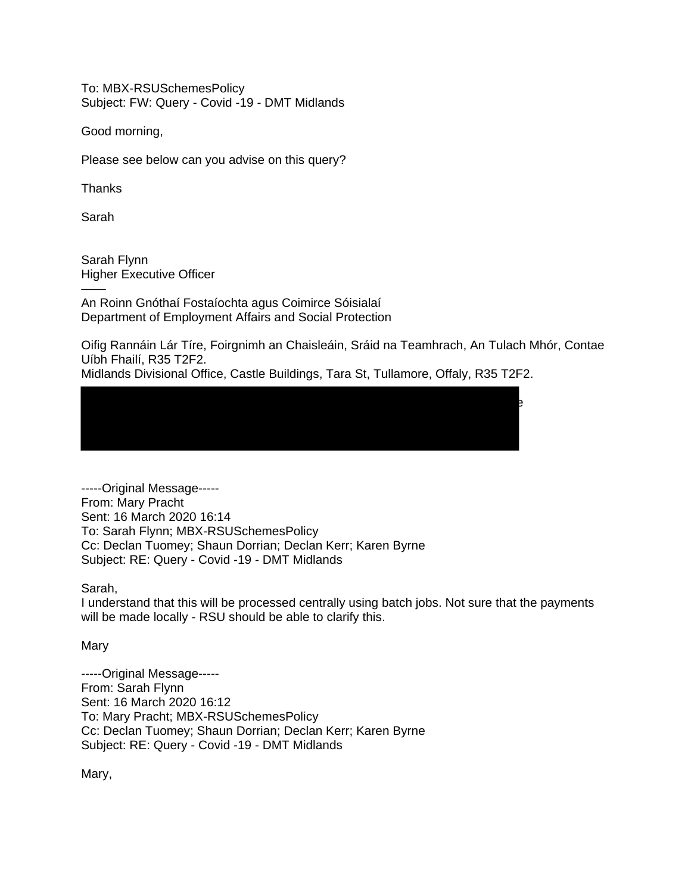To: MBX-RSUSchemesPolicy Subject: FW: Query - Covid -19 - DMT Midlands

Good morning,

Please see below can you advise on this query?

Thanks

Sarah

Sarah Flynn Higher Executive Officer

—— An Roinn Gnóthaí Fostaíochta agus Coimirce Sóisialaí Department of Employment Affairs and Social Protection

Oifig Rannáin Lár Tíre, Foirgnimh an Chaisleáin, Sráid na Teamhrach, An Tulach Mhór, Contae Uíbh Fhailí, R35 T2F2.

Midlands Divisional Office, Castle Buildings, Tara St, Tullamore, Offaly, R35 T2F2.

——  $\mathbf{S}_{\mathbf{S}}$ 

-----Original Message----- From: Mary Pracht Sent: 16 March 2020 16:14 To: Sarah Flynn; MBX-RSUSchemesPolicy Cc: Declan Tuomey; Shaun Dorrian; Declan Kerr; Karen Byrne Subject: RE: Query - Covid -19 - DMT Midlands

Sarah,

I understand that this will be processed centrally using batch jobs. Not sure that the payments will be made locally - RSU should be able to clarify this.

**Mary** 

-----Original Message----- From: Sarah Flynn Sent: 16 March 2020 16:12 To: Mary Pracht; MBX-RSUSchemesPolicy Cc: Declan Tuomey; Shaun Dorrian; Declan Kerr; Karen Byrne Subject: RE: Query - Covid -19 - DMT Midlands

Mary,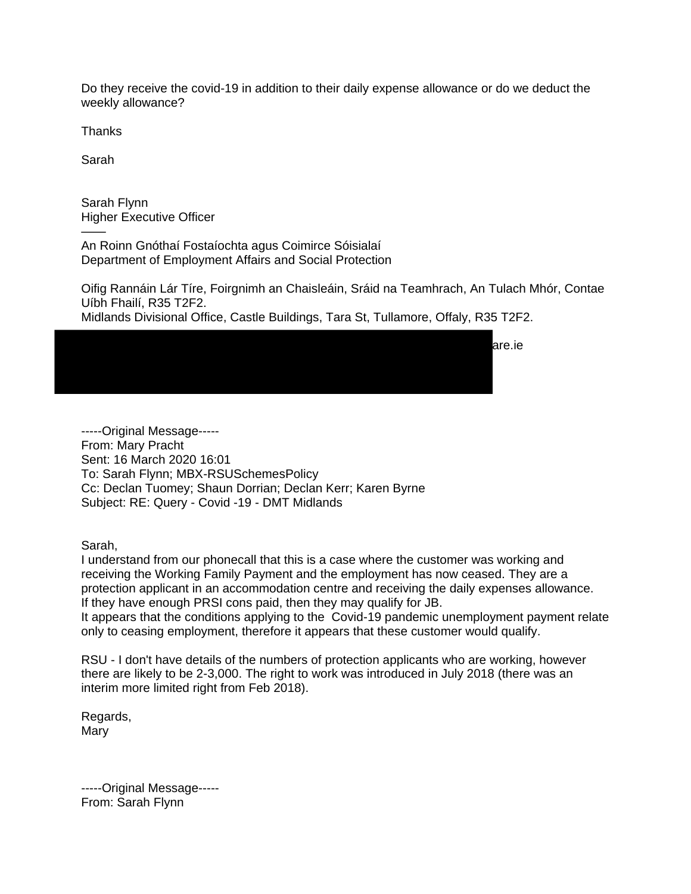Do they receive the covid-19 in addition to their daily expense allowance or do we deduct the weekly allowance?

**Thanks** 

Sarah

——

——

Sarah Flynn Higher Executive Officer

An Roinn Gnóthaí Fostaíochta agus Coimirce Sóisialaí Department of Employment Affairs and Social Protection

Oifig Rannáin Lár Tíre, Foirgnimh an Chaisleáin, Sráid na Teamhrach, An Tulach Mhór, Contae Uíbh Fhailí, R35 T2F2.

Midlands Divisional Office, Castle Buildings, Tara St, Tullamore, Offaly, R35 T2F2.

 $T = 353$  are .ies and  $T = 353$  for  $\alpha = 353$  are .ies

-----Original Message----- From: Mary Pracht Sent: 16 March 2020 16:01 To: Sarah Flynn; MBX-RSUSchemesPolicy Cc: Declan Tuomey; Shaun Dorrian; Declan Kerr; Karen Byrne Subject: RE: Query - Covid -19 - DMT Midlands

Sarah,

I understand from our phonecall that this is a case where the customer was working and receiving the Working Family Payment and the employment has now ceased. They are a protection applicant in an accommodation centre and receiving the daily expenses allowance. If they have enough PRSI cons paid, then they may qualify for JB.

It appears that the conditions applying to the Covid-19 pandemic unemployment payment relate only to ceasing employment, therefore it appears that these customer would qualify.

RSU - I don't have details of the numbers of protection applicants who are working, however there are likely to be 2-3,000. The right to work was introduced in July 2018 (there was an interim more limited right from Feb 2018).

Regards, Mary

-----Original Message----- From: Sarah Flynn